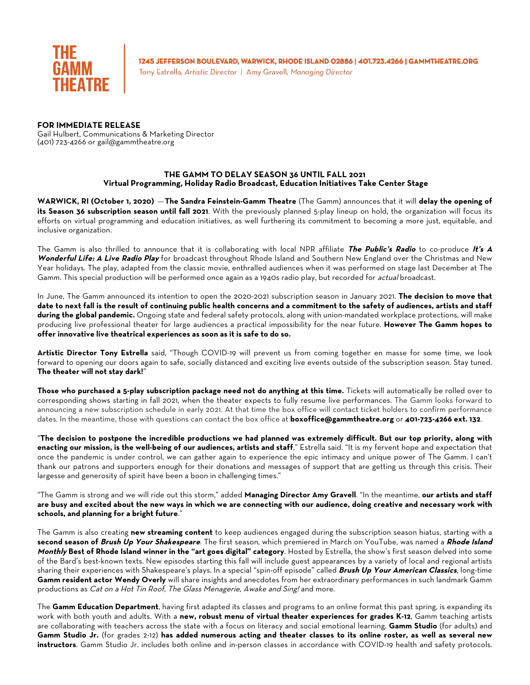

1245 JEFFERSON BOULEVARD, WARWICK, RHODE ISLAND 02886 | 401.723.4266 | GAMMTHEATRE.ORG

Tony Estrella, Artistic Director | Amy Gravell, Managing Director

## **FOR IMMEDIATE RELEASE**

Gail Hulbert, Communications & Marketing Director (401) 723-4266 or gail@gammtheatre.org

## **THE GAMM TO DELAY SEASON 36 UNTIL FALL 2021 Virtual Programming, Holiday Radio Broadcast, Education Initiatives Take Center Stage**

**WARWICK, RI (October 1, 2020)** —**The Sandra Feinstein-Gamm Theatre** (The Gamm) announces that it will **delay the opening of its Season 36 subscription season until fall 2021**. With the previously planned 5-play lineup on hold, the organization will focus its efforts on virtual programming and education initiatives, as well furthering its commitment to becoming a more just, equitable, and inclusive organization.

The Gamm is also thrilled to announce that it is collaborating with local NPR affiliate **The Public's Radio** to co-produce **It's A Wonderful Life: A Live Radio Play** for broadcast throughout Rhode Island and Southern New England over the Christmas and New Year holidays. The play, adapted from the classic movie, enthralled audiences when it was performed on stage last December at The Gamm. This special production will be performed once again as a 1940s radio play, but recorded for *actual* broadcast.

In June, The Gamm announced its intention to open the 2020-2021 subscription season in January 2021. **The decision to move that date to next fall is the result of continuing public health concerns and a commitment to the safety of audiences, artists and staff during the global pandemic.** Ongoing state and federal safety protocols, along with union-mandated workplace protections, will make producing live professional theater for large audiences a practical impossibility for the near future. **However The Gamm hopes to offer innovative live theatrical experiences as soon as it is safe to do so.**

**Artistic Director Tony Estrella** said, "Though COVID-19 will prevent us from coming together en masse for some time, we look forward to opening our doors again to safe, socially distanced and exciting live events outside of the subscription season. Stay tuned. **The theater will not stay dark!**"

**Those who purchased a 5-play subscription package need not do anything at this time.** Tickets will automatically be rolled over to corresponding shows starting in fall 2021, when the theater expects to fully resume live performances. The Gamm looks forward to announcing a new subscription schedule in early 2021. At that time the box office will contact ticket holders to confirm performance dates. In the meantime, those with questions can contact the box office at **boxoffice@gammtheatre.org** or **401-723-4266 ext. 132**.

"**The decision to postpone the incredible productions we had planned was extremely difficult. But our top priority, along with enacting our mission, is the well-being of our audiences, artists and staff**," Estrella said. "It is my fervent hope and expectation that once the pandemic is under control, we can gather again to experience the epic intimacy and unique power of The Gamm. I can't thank our patrons and supporters enough for their donations and messages of support that are getting us through this crisis. Their largesse and generosity of spirit have been a boon in challenging times."

"The Gamm is strong and we will ride out this storm," added **Managing Director Amy Gravell**. "In the meantime, **our artists and staff are busy and excited about the new ways in which we are connecting with our audience, doing creative and necessary work with schools, and planning for a bright future**."

The Gamm is also creating **new streaming content** to keep audiences engaged during the subscription season hiatus, starting with a **second season of Brush Up Your Shakespeare**. The first season, which premiered in March on YouTube, was named a **Rhode Island Monthly Best of Rhode Island winner in the "art goes digital" category**. Hosted by Estrella, the show's first season delved into some of the Bard's best-known texts. New episodes starting this fall will include guest appearances by a variety of local and regional artists sharing their experiences with Shakespeare's plays. In a special "spin-off episode" called **Brush Up Your American Classics**, long-time **Gamm resident actor Wendy Overly** will share insights and anecdotes from her extraordinary performances in such landmark Gamm productions as Cat on a Hot Tin Roof, The Glass Menagerie, Awake and Sing! and more.

The **Gamm Education Department**, having first adapted its classes and programs to an online format this past spring, is expanding its work with both youth and adults. With a **new, robust menu of virtual theater experiences for grades K-12**, Gamm teaching artists are collaborating with teachers across the state with a focus on literacy and social emotional learning. **Gamm Studio** (for adults) and **Gamm Studio Jr.** (for grades 2-12) **has added numerous acting and theater classes to its online roster, as well as several new instructors**. Gamm Studio Jr. includes both online and in-person classes in accordance with COVID-19 health and safety protocols.